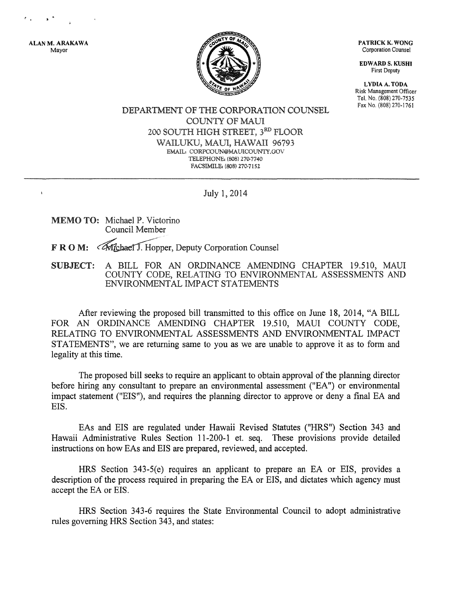ALAN M. ARAKAWA Mayor

 $\mathbf{I}$ 



PATRICK K. WONG Corporation Counsel

EDWARD S. KUSHI First Deputy

LYDIA A. TODA Risk Management Officer Tel. No, (808) 270-7535 Fax No, (808) 270-1761

DEPARTMENT OF THE CORPORATION COUNSEL COUNTY OF MAUI 200 SOUTH HIGH STREET,  $3^{RD}$  FLOOR WAILUKU, MAUI, HAWAII 96793 EMAIL: CORPCOlJN@MAUICOlJNTY.GOV TELEPHONE: (808) 270-7740 FACSIMILE: (808) 270-7152

July 1, 2014

MEMO TO: Michael P. Victorino Council Member

F R O M: *«Michael J.* Hopper, Deputy Corporation Counsel

SUBJECT: A BILL FOR AN ORDINANCE AMENDING CHAPTER 19.510, MAUl COUNTY CODE, RELATING TO ENVIRONMENTAL ASSESSMENTS AND ENVIRONMENTAL IMPACT STATEMENTS

After reviewing the proposed bill transmitted to this office on June 18, 2014, "A BILL FOR AN ORDINANCE AMENDING CHAPTER 19.510, MAUl COUNTY CODE, RELATING TO ENVIRONMENTAL ASSESSMENTS AND ENVIRONMENTAL IMPACT STATEMENTS", we are returning same to you as we are unable to approve it as to form and legality at this time.

The proposed bill seeks to require an applicant to obtain approval of the planning director before hiring any consultant to prepare an environmental assessment ("EA'') or environmental impact statement ("EIS"), and requires the planning director to approve or deny a final EA and EIS.

EAs and EIS are regulated under Hawaii Revised Statutes ("HRS") Section 343 and Hawaii Administrative Rules Section 11-200-1 et. seq. These provisions provide detailed instructions on how EAs and EIS are prepared, reviewed, and accepted.

HRS Section 343-5(e) requires an applicant to prepare an EA or EIS, provides a description of the process required in preparing the EA or EIS, and dictates which agency must accept the EA or EIS.

HRS Section 343-6 requires the State Environmental Council to adopt administrative rules governing HRS Section 343, and states: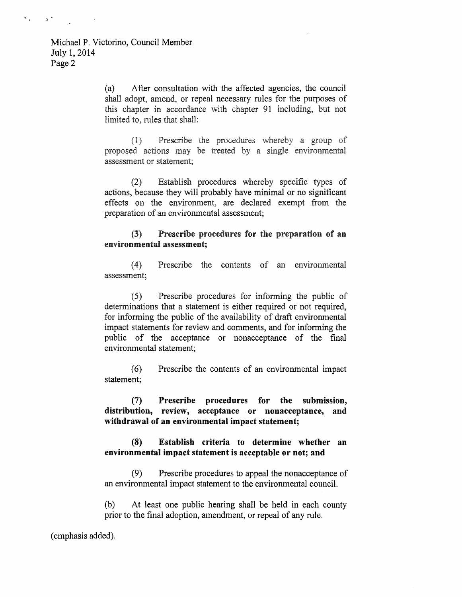$\mathbf{r}_{-1}$ 

 $\alpha$ 

(a) After consultation with the affected agencies, the council shall adopt, amend, or repeal necessary rules for the purposes of this chapter in accordance with chapter 91 including, but not limited to, rules that shall:

Prescribe the procedures whereby a group of  $(1)$ proposed actions may be treated by a single environmental assessment or statement:

(2) Establish procedures whereby specific types of actions, because they will probably have minimal or no significant effects on the environment, are declared exempt from the preparation of an environmental assessment;

## (3) Prescribe procedures for the preparation of an environmental assessment;

( 4) Prescribe the contents of an environmental assessment;

(5) Prescribe procedures for informing the public of determinations that a statement is either required or not required, for informing the public of the availability of draft environmental impact statements for review and comments, and for informing the public of the acceptance or nonacceptance of the final environmental statement;

(6) Prescribe the contents of an environmental impact statement;

(7) Prescribe procedures for the submission, distribution, review, acceptance or nonacceptance, and withdrawal of an environmental impact statement;

## **(8) Establish criteria to determine whether an environmental impact statement is acceptable or not; and**

(9) Prescribe procedures to appeal the nonacceptance of an environmental impact statement to the environmental council.

(b) At least one public hearing shall be held in each county prior to the final adoption, amendment, or repeal of any rule.

(emphasis added).